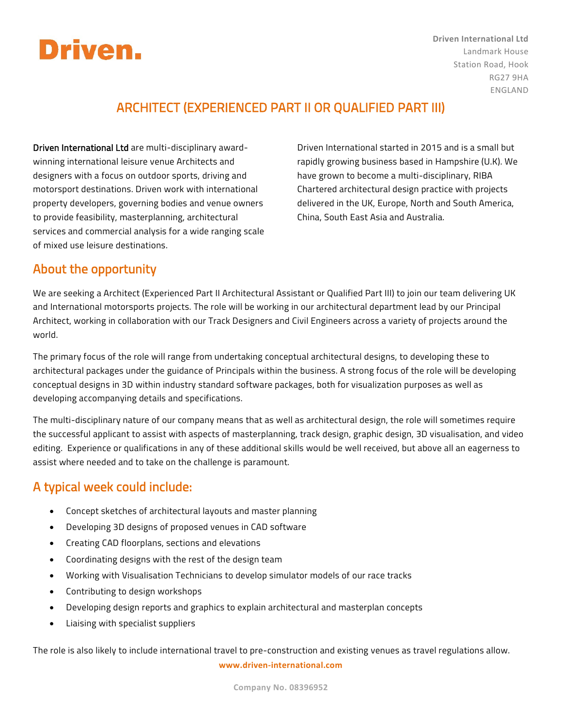# **Driven.**

# ARCHITECT (EXPERIENCED PART II OR QUALIFIED PART III)

Driven International Ltd are multi-disciplinary awardwinning international leisure venue Architects and designers with a focus on outdoor sports, driving and motorsport destinations. Driven work with international property developers, governing bodies and venue owners to provide feasibility, masterplanning, architectural services and commercial analysis for a wide ranging scale of mixed use leisure destinations.

Driven International started in 2015 and is a small but rapidly growing business based in Hampshire (U.K). We have grown to become a multi-disciplinary, RIBA Chartered architectural design practice with projects delivered in the UK, Europe, North and South America, China, South East Asia and Australia.

# About the opportunity

We are seeking a Architect (Experienced Part II Architectural Assistant or Qualified Part III) to join our team delivering UK and International motorsports projects. The role will be working in our architectural department lead by our Principal Architect, working in collaboration with our Track Designers and Civil Engineers across a variety of projects around the world.

The primary focus of the role will range from undertaking conceptual architectural designs, to developing these to architectural packages under the guidance of Principals within the business. A strong focus of the role will be developing conceptual designs in 3D within industry standard software packages, both for visualization purposes as well as developing accompanying details and specifications.

The multi-disciplinary nature of our company means that as well as architectural design, the role will sometimes require the successful applicant to assist with aspects of masterplanning, track design, graphic design, 3D visualisation, and video editing. Experience or qualifications in any of these additional skills would be well received, but above all an eagerness to assist where needed and to take on the challenge is paramount.

# A typical week could include:

- Concept sketches of architectural layouts and master planning
- Developing 3D designs of proposed venues in CAD software
- Creating CAD floorplans, sections and elevations
- Coordinating designs with the rest of the design team
- Working with Visualisation Technicians to develop simulator models of our race tracks
- Contributing to design workshops
- Developing design reports and graphics to explain architectural and masterplan concepts
- Liaising with specialist suppliers

**www.driven-international.com** The role is also likely to include international travel to pre-construction and existing venues as travel regulations allow.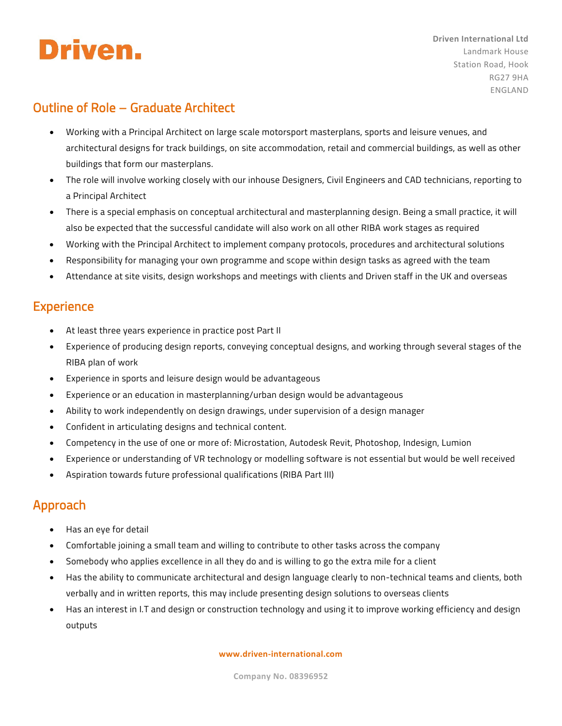

# Outline of Role – Graduate Architect

- Working with a Principal Architect on large scale motorsport masterplans, sports and leisure venues, and architectural designs for track buildings, on site accommodation, retail and commercial buildings, as well as other buildings that form our masterplans.
- The role will involve working closely with our inhouse Designers, Civil Engineers and CAD technicians, reporting to a Principal Architect
- There is a special emphasis on conceptual architectural and masterplanning design. Being a small practice, it will also be expected that the successful candidate will also work on all other RIBA work stages as required
- Working with the Principal Architect to implement company protocols, procedures and architectural solutions
- Responsibility for managing your own programme and scope within design tasks as agreed with the team
- Attendance at site visits, design workshops and meetings with clients and Driven staff in the UK and overseas

### **Experience**

- At least three years experience in practice post Part II
- Experience of producing design reports, conveying conceptual designs, and working through several stages of the RIBA plan of work
- Experience in sports and leisure design would be advantageous
- Experience or an education in masterplanning/urban design would be advantageous
- Ability to work independently on design drawings, under supervision of a design manager
- Confident in articulating designs and technical content.
- Competency in the use of one or more of: Microstation, Autodesk Revit, Photoshop, Indesign, Lumion
- Experience or understanding of VR technology or modelling software is not essential but would be well received
- Aspiration towards future professional qualifications (RIBA Part III)

#### Approach

- Has an eye for detail
- Comfortable joining a small team and willing to contribute to other tasks across the company
- Somebody who applies excellence in all they do and is willing to go the extra mile for a client
- Has the ability to communicate architectural and design language clearly to non-technical teams and clients, both verbally and in written reports, this may include presenting design solutions to overseas clients
- Has an interest in I.T and design or construction technology and using it to improve working efficiency and design outputs

#### **www.driven-international.com**